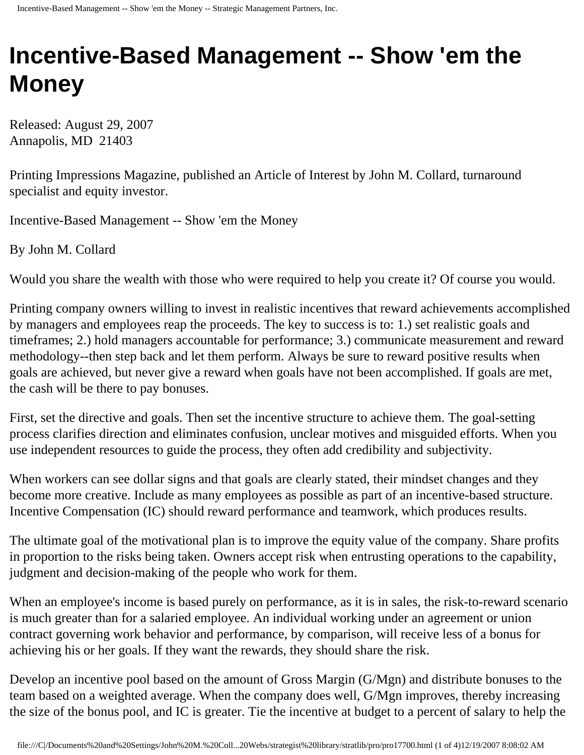## **Incentive-Based Management -- Show 'em the Money**

Released: August 29, 2007 Annapolis, MD 21403

Printing Impressions Magazine, published an Article of Interest by John M. Collard, turnaround specialist and equity investor.

Incentive-Based Management -- Show 'em the Money

By John M. Collard

Would you share the wealth with those who were required to help you create it? Of course you would.

Printing company owners willing to invest in realistic incentives that reward achievements accomplished by managers and employees reap the proceeds. The key to success is to: 1.) set realistic goals and timeframes; 2.) hold managers accountable for performance; 3.) communicate measurement and reward methodology--then step back and let them perform. Always be sure to reward positive results when goals are achieved, but never give a reward when goals have not been accomplished. If goals are met, the cash will be there to pay bonuses.

First, set the directive and goals. Then set the incentive structure to achieve them. The goal-setting process clarifies direction and eliminates confusion, unclear motives and misguided efforts. When you use independent resources to guide the process, they often add credibility and subjectivity.

When workers can see dollar signs and that goals are clearly stated, their mindset changes and they become more creative. Include as many employees as possible as part of an incentive-based structure. Incentive Compensation (IC) should reward performance and teamwork, which produces results.

The ultimate goal of the motivational plan is to improve the equity value of the company. Share profits in proportion to the risks being taken. Owners accept risk when entrusting operations to the capability, judgment and decision-making of the people who work for them.

When an employee's income is based purely on performance, as it is in sales, the risk-to-reward scenario is much greater than for a salaried employee. An individual working under an agreement or union contract governing work behavior and performance, by comparison, will receive less of a bonus for achieving his or her goals. If they want the rewards, they should share the risk.

Develop an incentive pool based on the amount of Gross Margin (G/Mgn) and distribute bonuses to the team based on a weighted average. When the company does well, G/Mgn improves, thereby increasing the size of the bonus pool, and IC is greater. Tie the incentive at budget to a percent of salary to help the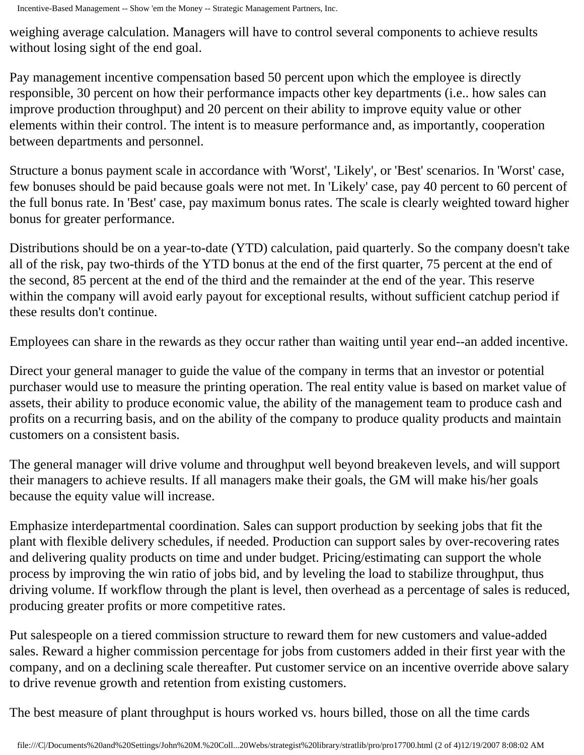weighing average calculation. Managers will have to control several components to achieve results without losing sight of the end goal.

Pay management incentive compensation based 50 percent upon which the employee is directly responsible, 30 percent on how their performance impacts other key departments (i.e.. how sales can improve production throughput) and 20 percent on their ability to improve equity value or other elements within their control. The intent is to measure performance and, as importantly, cooperation between departments and personnel.

Structure a bonus payment scale in accordance with 'Worst', 'Likely', or 'Best' scenarios. In 'Worst' case, few bonuses should be paid because goals were not met. In 'Likely' case, pay 40 percent to 60 percent of the full bonus rate. In 'Best' case, pay maximum bonus rates. The scale is clearly weighted toward higher bonus for greater performance.

Distributions should be on a year-to-date (YTD) calculation, paid quarterly. So the company doesn't take all of the risk, pay two-thirds of the YTD bonus at the end of the first quarter, 75 percent at the end of the second, 85 percent at the end of the third and the remainder at the end of the year. This reserve within the company will avoid early payout for exceptional results, without sufficient catchup period if these results don't continue.

Employees can share in the rewards as they occur rather than waiting until year end--an added incentive.

Direct your general manager to guide the value of the company in terms that an investor or potential purchaser would use to measure the printing operation. The real entity value is based on market value of assets, their ability to produce economic value, the ability of the management team to produce cash and profits on a recurring basis, and on the ability of the company to produce quality products and maintain customers on a consistent basis.

The general manager will drive volume and throughput well beyond breakeven levels, and will support their managers to achieve results. If all managers make their goals, the GM will make his/her goals because the equity value will increase.

Emphasize interdepartmental coordination. Sales can support production by seeking jobs that fit the plant with flexible delivery schedules, if needed. Production can support sales by over-recovering rates and delivering quality products on time and under budget. Pricing/estimating can support the whole process by improving the win ratio of jobs bid, and by leveling the load to stabilize throughput, thus driving volume. If workflow through the plant is level, then overhead as a percentage of sales is reduced, producing greater profits or more competitive rates.

Put salespeople on a tiered commission structure to reward them for new customers and value-added sales. Reward a higher commission percentage for jobs from customers added in their first year with the company, and on a declining scale thereafter. Put customer service on an incentive override above salary to drive revenue growth and retention from existing customers.

The best measure of plant throughput is hours worked vs. hours billed, those on all the time cards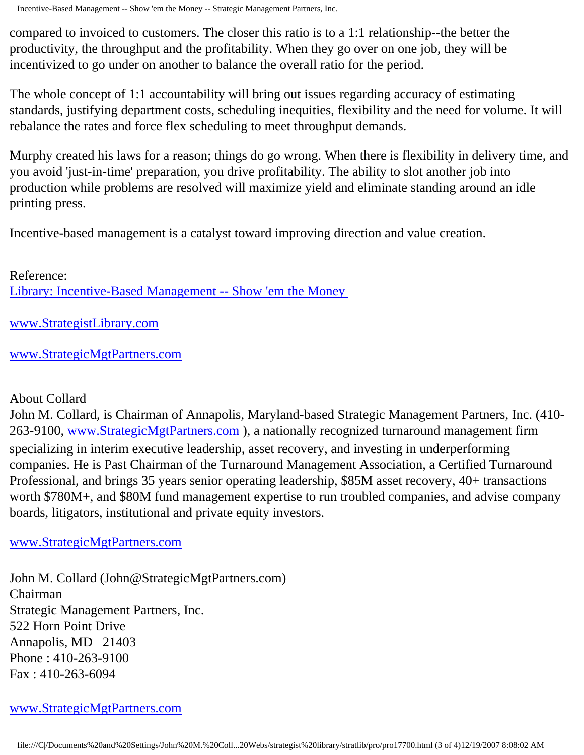Incentive-Based Management -- Show 'em the Money -- Strategic Management Partners, Inc.

compared to invoiced to customers. The closer this ratio is to a 1:1 relationship--the better the productivity, the throughput and the profitability. When they go over on one job, they will be incentivized to go under on another to balance the overall ratio for the period.

The whole concept of 1:1 accountability will bring out issues regarding accuracy of estimating standards, justifying department costs, scheduling inequities, flexibility and the need for volume. It will rebalance the rates and force flex scheduling to meet throughput demands.

Murphy created his laws for a reason; things do go wrong. When there is flexibility in delivery time, and you avoid 'just-in-time' preparation, you drive profitability. The ability to slot another job into production while problems are resolved will maximize yield and eliminate standing around an idle printing press.

Incentive-based management is a catalyst toward improving direction and value creation.

Reference: [Library: Incentive-Based Management -- Show 'em the Money](http://members.aol.com/stratlib3/piibmf.html)

[www.StrategistLibrary.com](http://www.strategistlibrary.com/)

[www.StrategicMgtPartners.com](http://www.strategicmgtpartners.com/)

## About Collard

John M. Collard, is Chairman of Annapolis, Maryland-based Strategic Management Partners, Inc. (410 263-9100, [www.StrategicMgtPartners.com](http://www.strategicmgtpartners.com/)), a nationally recognized turnaround management firm specializing in interim executive leadership, asset recovery, and investing in underperforming companies. He is Past Chairman of the Turnaround Management Association, a Certified Turnaround Professional, and brings 35 years senior operating leadership, \$85M asset recovery, 40+ transactions worth \$780M+, and \$80M fund management expertise to run troubled companies, and advise company boards, litigators, institutional and private equity investors.

[www.StrategicMgtPartners.com](http://www.strategicmgtpartners.com/)

John M. Collard (John@StrategicMgtPartners.com) Chairman Strategic Management Partners, Inc. 522 Horn Point Drive Annapolis, MD 21403 Phone : 410-263-9100 Fax : 410-263-6094

## [www.StrategicMgtPartners.com](http://www.strategicmgtpartners.com/)